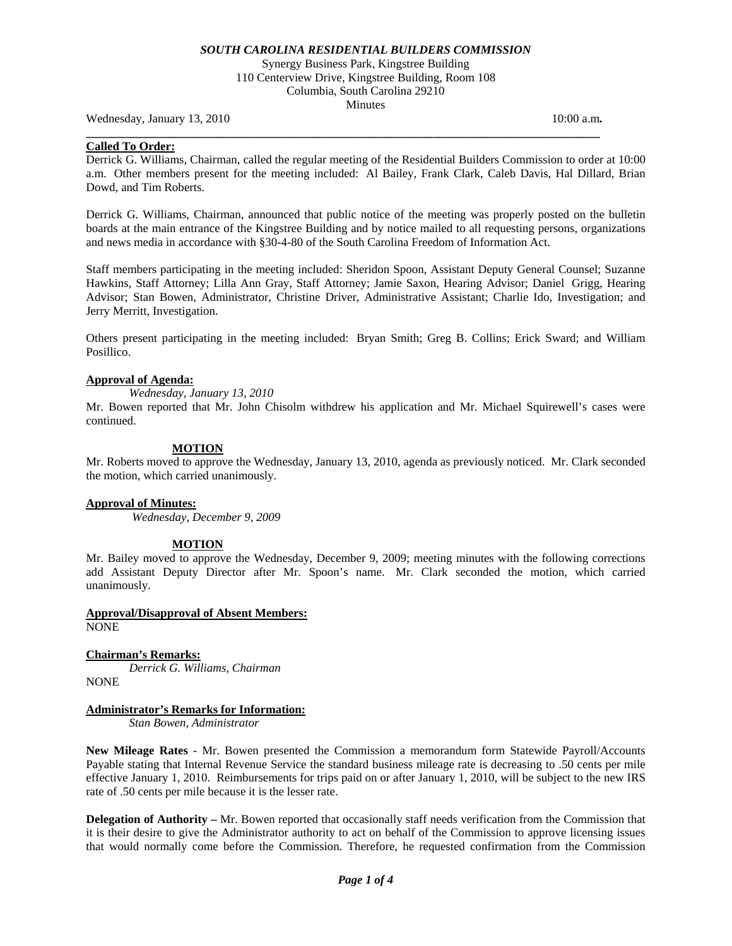Synergy Business Park, Kingstree Building 110 Centerview Drive, Kingstree Building, Room 108 Columbia, South Carolina 29210 Minutes

**\_\_\_\_\_\_\_\_\_\_\_\_\_\_\_\_\_\_\_\_\_\_\_\_\_\_\_\_\_\_\_\_\_\_\_\_\_\_\_\_\_\_\_\_\_\_\_\_\_\_\_\_\_\_\_\_\_\_\_\_\_\_\_\_\_\_\_\_\_\_\_\_\_\_\_\_\_\_\_\_\_\_\_\_\_\_** 

Wednesday, January 13, 2010 10:00 a.m. **10:00 a.m. 10:00 a.m. 10:00 a.m.** 

## **Called To Order:**

Derrick G. Williams, Chairman, called the regular meeting of the Residential Builders Commission to order at 10:00 a.m. Other members present for the meeting included: Al Bailey, Frank Clark, Caleb Davis, Hal Dillard, Brian Dowd, and Tim Roberts.

Derrick G. Williams, Chairman, announced that public notice of the meeting was properly posted on the bulletin boards at the main entrance of the Kingstree Building and by notice mailed to all requesting persons, organizations and news media in accordance with §30-4-80 of the South Carolina Freedom of Information Act.

Staff members participating in the meeting included: Sheridon Spoon, Assistant Deputy General Counsel; Suzanne Hawkins, Staff Attorney; Lilla Ann Gray, Staff Attorney; Jamie Saxon, Hearing Advisor; Daniel Grigg, Hearing Advisor; Stan Bowen, Administrator, Christine Driver, Administrative Assistant; Charlie Ido, Investigation; and Jerry Merritt, Investigation.

Others present participating in the meeting included: Bryan Smith; Greg B. Collins; Erick Sward; and William Posillico.

#### **Approval of Agenda:**

*Wednesday, January 13, 2010* 

Mr. Bowen reported that Mr. John Chisolm withdrew his application and Mr. Michael Squirewell's cases were continued.

## **MOTION**

Mr. Roberts moved to approve the Wednesday, January 13, 2010, agenda as previously noticed. Mr. Clark seconded the motion, which carried unanimously.

## **Approval of Minutes:**

*Wednesday, December 9, 2009* 

## **MOTION**

Mr. Bailey moved to approve the Wednesday, December 9, 2009; meeting minutes with the following corrections add Assistant Deputy Director after Mr. Spoon's name. Mr. Clark seconded the motion, which carried unanimously.

**Approval/Disapproval of Absent Members:** NONE

**Chairman's Remarks:**  *Derrick G. Williams, Chairman* 

NONE

## **Administrator's Remarks for Information:**

 *Stan Bowen, Administrator* 

**New Mileage Rates** - Mr. Bowen presented the Commission a memorandum form Statewide Payroll/Accounts Payable stating that Internal Revenue Service the standard business mileage rate is decreasing to .50 cents per mile effective January 1, 2010. Reimbursements for trips paid on or after January 1, 2010, will be subject to the new IRS rate of .50 cents per mile because it is the lesser rate.

**Delegation of Authority –** Mr. Bowen reported that occasionally staff needs verification from the Commission that it is their desire to give the Administrator authority to act on behalf of the Commission to approve licensing issues that would normally come before the Commission. Therefore, he requested confirmation from the Commission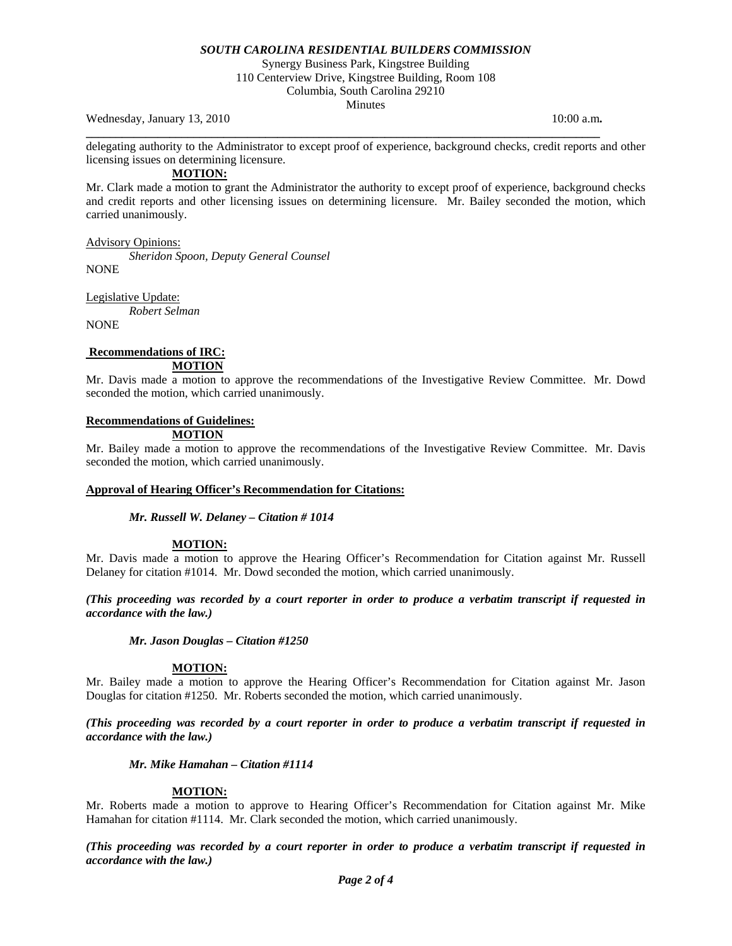Synergy Business Park, Kingstree Building

110 Centerview Drive, Kingstree Building, Room 108 Columbia, South Carolina 29210

Minutes

Wednesday, January 13, 2010 10:00 a.m. **10:00 a.m. 10:00 a.m. 10:00 a.m.** 

delegating authority to the Administrator to except proof of experience, background checks, credit reports and other licensing issues on determining licensure.

**\_\_\_\_\_\_\_\_\_\_\_\_\_\_\_\_\_\_\_\_\_\_\_\_\_\_\_\_\_\_\_\_\_\_\_\_\_\_\_\_\_\_\_\_\_\_\_\_\_\_\_\_\_\_\_\_\_\_\_\_\_\_\_\_\_\_\_\_\_\_\_\_\_\_\_\_\_\_\_\_\_\_\_\_\_\_** 

**MOTION:**

Mr. Clark made a motion to grant the Administrator the authority to except proof of experience, background checks and credit reports and other licensing issues on determining licensure. Mr. Bailey seconded the motion, which carried unanimously.

Advisory Opinions:

*Sheridon Spoon, Deputy General Counsel* 

NONE

Legislative Update:

*Robert Selman* 

NONE

## **Recommendations of IRC: MOTION**

Mr. Davis made a motion to approve the recommendations of the Investigative Review Committee. Mr. Dowd seconded the motion, which carried unanimously.

# **Recommendations of Guidelines:**

 **MOTION**

Mr. Bailey made a motion to approve the recommendations of the Investigative Review Committee. Mr. Davis seconded the motion, which carried unanimously.

## **Approval of Hearing Officer's Recommendation for Citations:**

## *Mr. Russell W. Delaney – Citation # 1014*

## **MOTION:**

Mr. Davis made a motion to approve the Hearing Officer's Recommendation for Citation against Mr. Russell Delaney for citation #1014. Mr. Dowd seconded the motion, which carried unanimously.

*(This proceeding was recorded by a court reporter in order to produce a verbatim transcript if requested in accordance with the law.)* 

*Mr. Jason Douglas – Citation #1250* 

## **MOTION:**

Mr. Bailey made a motion to approve the Hearing Officer's Recommendation for Citation against Mr. Jason Douglas for citation #1250. Mr. Roberts seconded the motion, which carried unanimously.

*(This proceeding was recorded by a court reporter in order to produce a verbatim transcript if requested in accordance with the law.)* 

## *Mr. Mike Hamahan – Citation #1114*

## **MOTION:**

Mr. Roberts made a motion to approve to Hearing Officer's Recommendation for Citation against Mr. Mike Hamahan for citation #1114. Mr. Clark seconded the motion, which carried unanimously.

*(This proceeding was recorded by a court reporter in order to produce a verbatim transcript if requested in accordance with the law.)*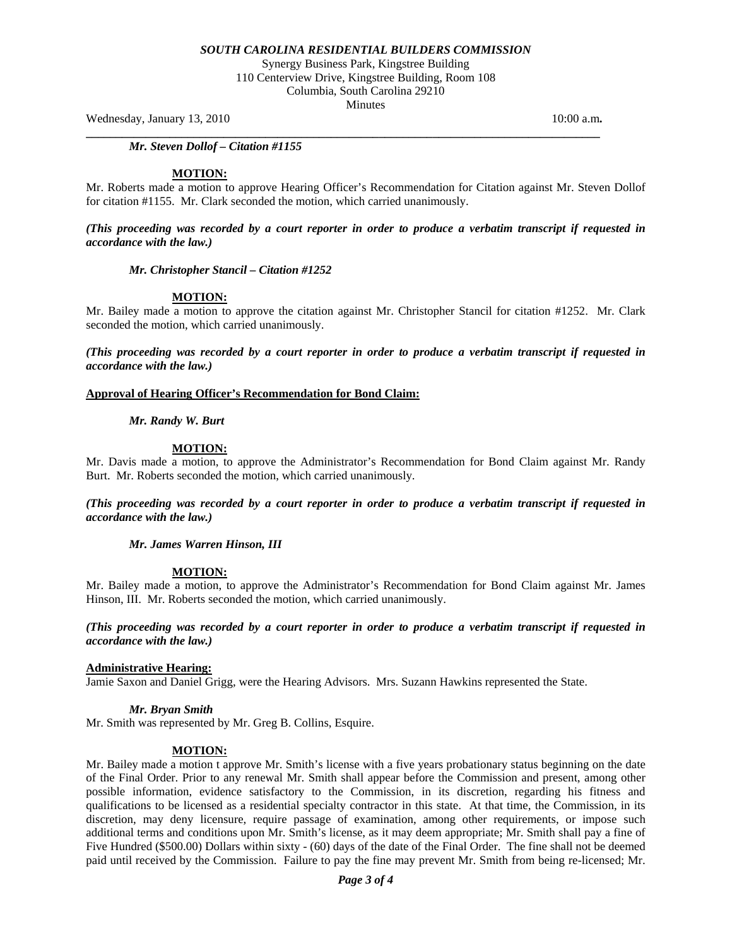Synergy Business Park, Kingstree Building 110 Centerview Drive, Kingstree Building, Room 108 Columbia, South Carolina 29210

Minutes

**\_\_\_\_\_\_\_\_\_\_\_\_\_\_\_\_\_\_\_\_\_\_\_\_\_\_\_\_\_\_\_\_\_\_\_\_\_\_\_\_\_\_\_\_\_\_\_\_\_\_\_\_\_\_\_\_\_\_\_\_\_\_\_\_\_\_\_\_\_\_\_\_\_\_\_\_\_\_\_\_\_\_\_\_\_\_** 

Wednesday, January 13, 2010 10:00 a.m. **10:00 a.m. 10:00 a.m. 10:00 a.m.** 

*Mr. Steven Dollof – Citation #1155* 

#### **MOTION:**

Mr. Roberts made a motion to approve Hearing Officer's Recommendation for Citation against Mr. Steven Dollof for citation #1155. Mr. Clark seconded the motion, which carried unanimously.

*(This proceeding was recorded by a court reporter in order to produce a verbatim transcript if requested in accordance with the law.)* 

#### *Mr. Christopher Stancil – Citation #1252*

## **MOTION:**

Mr. Bailey made a motion to approve the citation against Mr. Christopher Stancil for citation #1252. Mr. Clark seconded the motion, which carried unanimously.

*(This proceeding was recorded by a court reporter in order to produce a verbatim transcript if requested in accordance with the law.)* 

## **Approval of Hearing Officer's Recommendation for Bond Claim:**

## *Mr. Randy W. Burt*

## **MOTION:**

Mr. Davis made a motion, to approve the Administrator's Recommendation for Bond Claim against Mr. Randy Burt. Mr. Roberts seconded the motion, which carried unanimously.

*(This proceeding was recorded by a court reporter in order to produce a verbatim transcript if requested in accordance with the law.)* 

*Mr. James Warren Hinson, III* 

## **MOTION:**

Mr. Bailey made a motion, to approve the Administrator's Recommendation for Bond Claim against Mr. James Hinson, III. Mr. Roberts seconded the motion, which carried unanimously.

*(This proceeding was recorded by a court reporter in order to produce a verbatim transcript if requested in accordance with the law.)* 

## **Administrative Hearing:**

Jamie Saxon and Daniel Grigg, were the Hearing Advisors. Mrs. Suzann Hawkins represented the State.

## *Mr. Bryan Smith*

Mr. Smith was represented by Mr. Greg B. Collins, Esquire.

## **MOTION:**

Mr. Bailey made a motion t approve Mr. Smith's license with a five years probationary status beginning on the date of the Final Order. Prior to any renewal Mr. Smith shall appear before the Commission and present, among other possible information, evidence satisfactory to the Commission, in its discretion, regarding his fitness and qualifications to be licensed as a residential specialty contractor in this state. At that time, the Commission, in its discretion, may deny licensure, require passage of examination, among other requirements, or impose such additional terms and conditions upon Mr. Smith's license, as it may deem appropriate; Mr. Smith shall pay a fine of Five Hundred (\$500.00) Dollars within sixty - (60) days of the date of the Final Order. The fine shall not be deemed paid until received by the Commission. Failure to pay the fine may prevent Mr. Smith from being re-licensed; Mr.